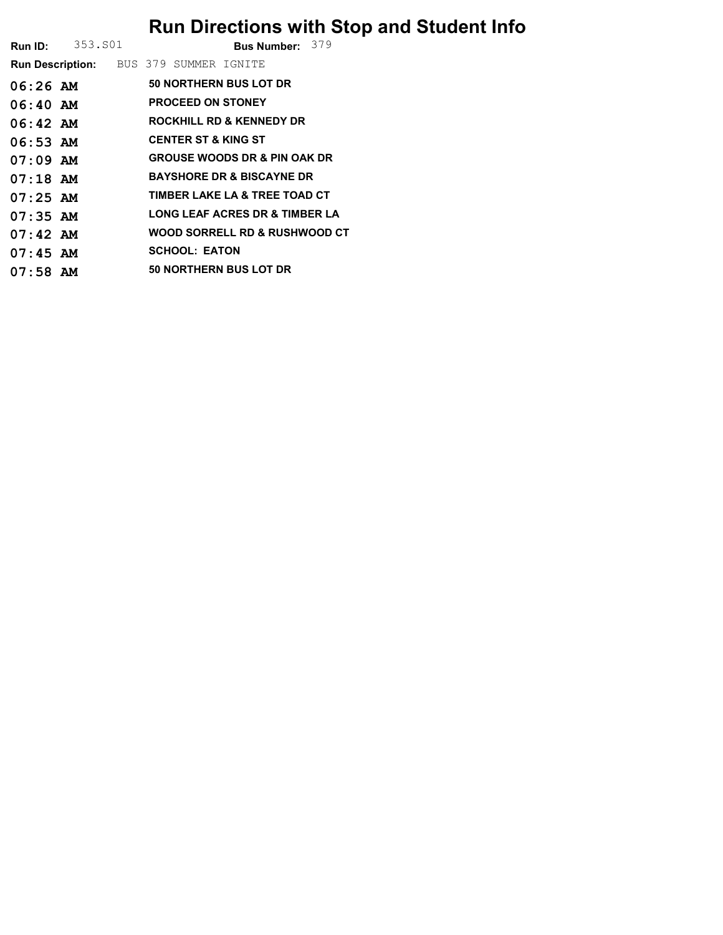## Run Directions with Stop and Student Info

**Run ID:** 353.801 **Bus Number:** 379

| <b>Run Description:</b> |  |                        |  | BUS 379 SUMMER IGNITE          |                                           |  |  |  |  |  |  |
|-------------------------|--|------------------------|--|--------------------------------|-------------------------------------------|--|--|--|--|--|--|
| $06:26$ AM              |  | 50 NORTHERN BUS LOT DR |  |                                |                                           |  |  |  |  |  |  |
| $06:40$ AM              |  |                        |  | <b>PROCEED ON STONEY</b>       |                                           |  |  |  |  |  |  |
| $06:42$ AM              |  |                        |  |                                | ROCKHILL RD & KENNEDY DR                  |  |  |  |  |  |  |
| $06:53$ AM              |  |                        |  | <b>CENTER ST &amp; KING ST</b> |                                           |  |  |  |  |  |  |
| $07:09$ AM              |  |                        |  |                                | <b>GROUSE WOODS DR &amp; PIN OAK DR</b>   |  |  |  |  |  |  |
| $07:18$ AM              |  |                        |  |                                | <b>BAYSHORE DR &amp; BISCAYNE DR</b>      |  |  |  |  |  |  |
| $07:25$ AM              |  |                        |  |                                | TIMBER LAKE LA & TREE TOAD CT             |  |  |  |  |  |  |
| $07:35$ AM              |  |                        |  |                                | <b>LONG LEAF ACRES DR &amp; TIMBER LA</b> |  |  |  |  |  |  |
| $07:42$ AM              |  |                        |  |                                | WOOD SORRELL RD & RUSHWOOD CT             |  |  |  |  |  |  |
| $07:45$ AM              |  |                        |  | <b>SCHOOL: EATON</b>           |                                           |  |  |  |  |  |  |
| $07:58$ AM              |  |                        |  |                                | 50 NORTHERN BUS LOT DR                    |  |  |  |  |  |  |